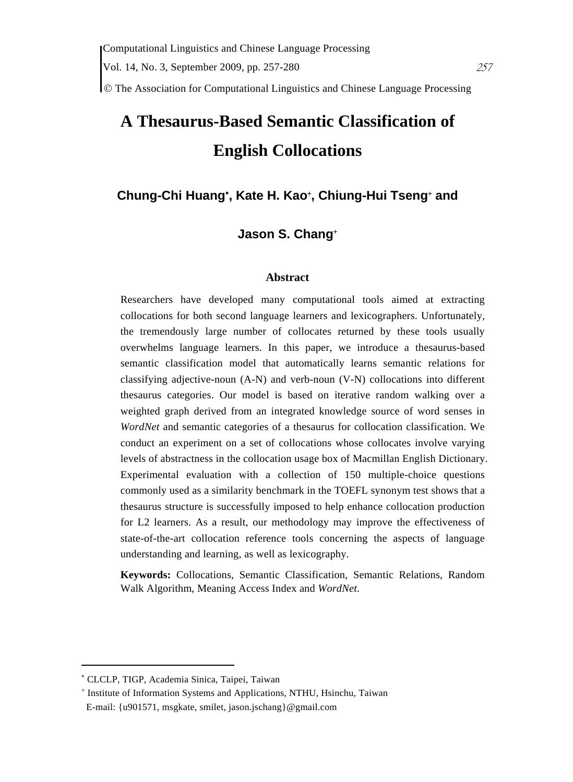© The Association for Computational Linguistics and Chinese Language Processing

# **A Thesaurus-Based Semantic Classification of English Collocations**

# **Chung-Chi Huang**<sup>∗</sup> **, Kate H. Kao**<sup>+</sup> **, Chiung-Hui Tseng**<sup>+</sup>  **and**

# **Jason S. Chang**<sup>+</sup>

## **Abstract**

Researchers have developed many computational tools aimed at extracting collocations for both second language learners and lexicographers. Unfortunately, the tremendously large number of collocates returned by these tools usually overwhelms language learners. In this paper, we introduce a thesaurus-based semantic classification model that automatically learns semantic relations for classifying adjective-noun (A-N) and verb-noun (V-N) collocations into different thesaurus categories. Our model is based on iterative random walking over a weighted graph derived from an integrated knowledge source of word senses in *WordNet* and semantic categories of a thesaurus for collocation classification. We conduct an experiment on a set of collocations whose collocates involve varying levels of abstractness in the collocation usage box of Macmillan English Dictionary. Experimental evaluation with a collection of 150 multiple-choice questions commonly used as a similarity benchmark in the TOEFL synonym test shows that a thesaurus structure is successfully imposed to help enhance collocation production for L2 learners. As a result, our methodology may improve the effectiveness of state-of-the-art collocation reference tools concerning the aspects of language understanding and learning, as well as lexicography.

**Keywords:** Collocations, Semantic Classification, Semantic Relations, Random Walk Algorithm, Meaning Access Index and *WordNet*.

<sup>∗</sup> CLCLP, TIGP, Academia Sinica, Taipei, Taiwan

<sup>+</sup> Institute of Information Systems and Applications, NTHU, Hsinchu, Taiwan E-mail: {u901571, msgkate, smilet, jason.jschang}@gmail.com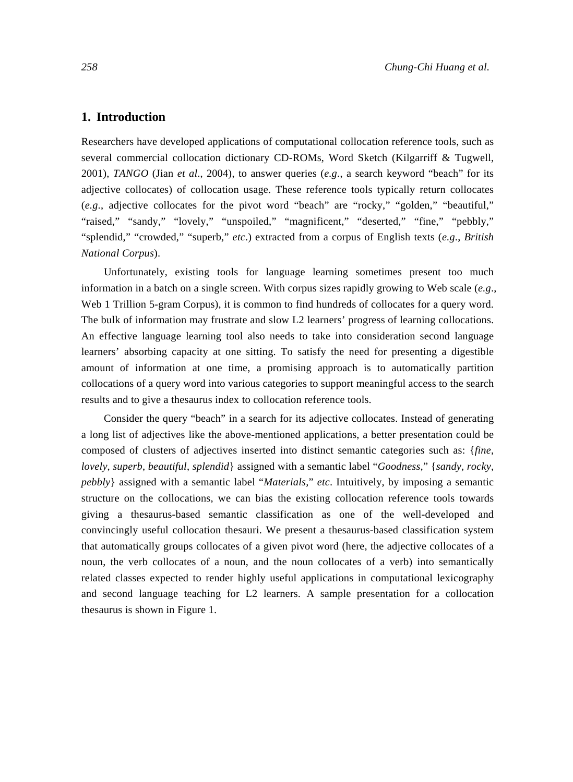# **1. Introduction**

Researchers have developed applications of computational collocation reference tools, such as several commercial collocation dictionary CD-ROMs, Word Sketch (Kilgarriff & Tugwell, 2001), *TANGO* (Jian *et al*., 2004), to answer queries (*e.g*., a search keyword "beach" for its adjective collocates) of collocation usage. These reference tools typically return collocates (*e.g*., adjective collocates for the pivot word "beach" are "rocky," "golden," "beautiful," "raised," "sandy," "lovely," "unspoiled," "magnificent," "deserted," "fine," "pebbly," "splendid," "crowded," "superb," *etc*.) extracted from a corpus of English texts (*e.g*., *British National Corpus*).

Unfortunately, existing tools for language learning sometimes present too much information in a batch on a single screen. With corpus sizes rapidly growing to Web scale (*e.g*., Web 1 Trillion 5-gram Corpus), it is common to find hundreds of collocates for a query word. The bulk of information may frustrate and slow L2 learners' progress of learning collocations. An effective language learning tool also needs to take into consideration second language learners' absorbing capacity at one sitting. To satisfy the need for presenting a digestible amount of information at one time, a promising approach is to automatically partition collocations of a query word into various categories to support meaningful access to the search results and to give a thesaurus index to collocation reference tools.

Consider the query "beach" in a search for its adjective collocates. Instead of generating a long list of adjectives like the above-mentioned applications, a better presentation could be composed of clusters of adjectives inserted into distinct semantic categories such as: {*fine*, *lovely*, *superb*, *beautiful*, *splendid*} assigned with a semantic label "*Goodness,*" {*sandy*, *rocky*, *pebbly*} assigned with a semantic label "*Materials,*" *etc*. Intuitively, by imposing a semantic structure on the collocations, we can bias the existing collocation reference tools towards giving a thesaurus-based semantic classification as one of the well-developed and convincingly useful collocation thesauri. We present a thesaurus-based classification system that automatically groups collocates of a given pivot word (here, the adjective collocates of a noun, the verb collocates of a noun, and the noun collocates of a verb) into semantically related classes expected to render highly useful applications in computational lexicography and second language teaching for L2 learners. A sample presentation for a collocation thesaurus is shown in Figure 1.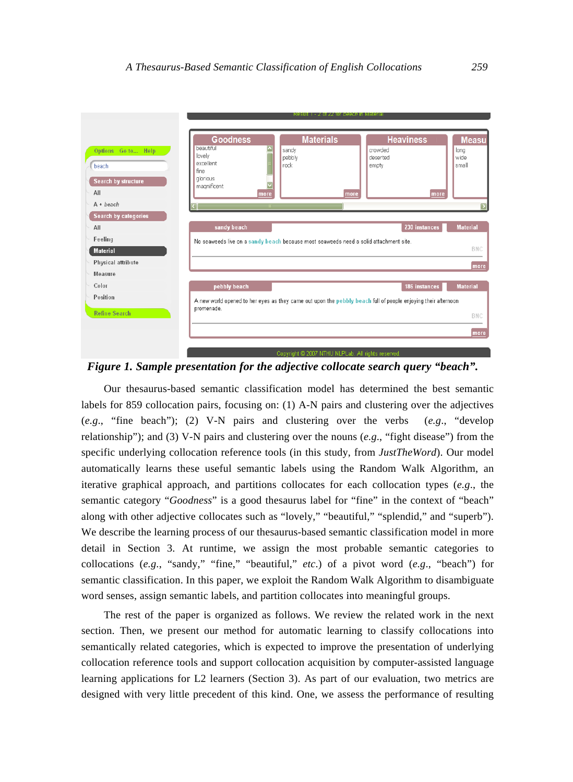

*Figure 1. Sample presentation for the adjective collocate search query "beach".* 

Our thesaurus-based semantic classification model has determined the best semantic labels for 859 collocation pairs, focusing on: (1) A-N pairs and clustering over the adjectives (*e.g*., "fine beach"); (2) V-N pairs and clustering over the verbs (*e.g*., "develop relationship"); and (3) V-N pairs and clustering over the nouns (*e.g*., "fight disease") from the specific underlying collocation reference tools (in this study, from *JustTheWord*). Our model automatically learns these useful semantic labels using the Random Walk Algorithm, an iterative graphical approach, and partitions collocates for each collocation types (*e.g*., the semantic category "*Goodness*" is a good thesaurus label for "fine" in the context of "beach" along with other adjective collocates such as "lovely," "beautiful," "splendid," and "superb"). We describe the learning process of our thesaurus-based semantic classification model in more detail in Section 3. At runtime, we assign the most probable semantic categories to collocations (*e.g*., "sandy," "fine," "beautiful," *etc*.) of a pivot word (*e.g*., "beach") for semantic classification. In this paper, we exploit the Random Walk Algorithm to disambiguate word senses, assign semantic labels, and partition collocates into meaningful groups.

The rest of the paper is organized as follows. We review the related work in the next section. Then, we present our method for automatic learning to classify collocations into semantically related categories, which is expected to improve the presentation of underlying collocation reference tools and support collocation acquisition by computer-assisted language learning applications for L2 learners (Section 3). As part of our evaluation, two metrics are designed with very little precedent of this kind. One, we assess the performance of resulting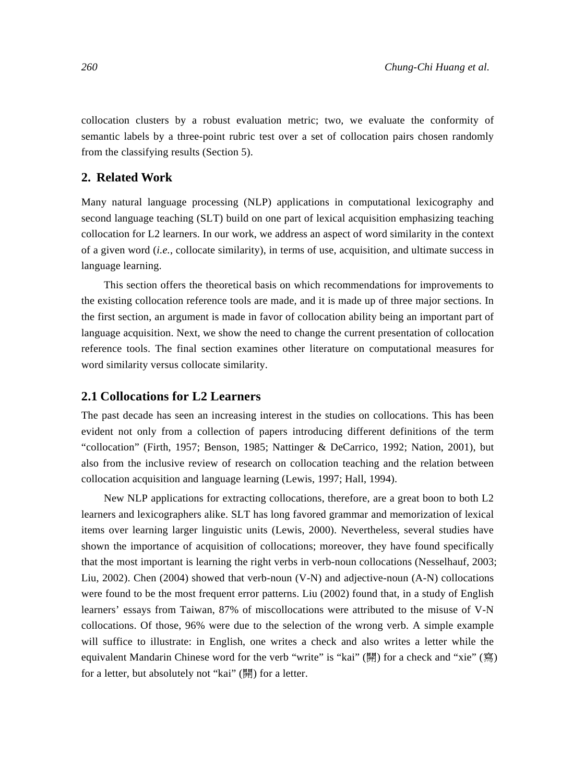collocation clusters by a robust evaluation metric; two, we evaluate the conformity of semantic labels by a three-point rubric test over a set of collocation pairs chosen randomly from the classifying results (Section 5).

# **2. Related Work**

Many natural language processing (NLP) applications in computational lexicography and second language teaching (SLT) build on one part of lexical acquisition emphasizing teaching collocation for L2 learners. In our work, we address an aspect of word similarity in the context of a given word (*i.e.*, collocate similarity), in terms of use, acquisition, and ultimate success in language learning.

This section offers the theoretical basis on which recommendations for improvements to the existing collocation reference tools are made, and it is made up of three major sections. In the first section, an argument is made in favor of collocation ability being an important part of language acquisition. Next, we show the need to change the current presentation of collocation reference tools. The final section examines other literature on computational measures for word similarity versus collocate similarity.

## **2.1 Collocations for L2 Learners**

The past decade has seen an increasing interest in the studies on collocations. This has been evident not only from a collection of papers introducing different definitions of the term "collocation" (Firth, 1957; Benson, 1985; Nattinger & DeCarrico, 1992; Nation, 2001), but also from the inclusive review of research on collocation teaching and the relation between collocation acquisition and language learning (Lewis, 1997; Hall, 1994).

New NLP applications for extracting collocations, therefore, are a great boon to both L2 learners and lexicographers alike. SLT has long favored grammar and memorization of lexical items over learning larger linguistic units (Lewis, 2000). Nevertheless, several studies have shown the importance of acquisition of collocations; moreover, they have found specifically that the most important is learning the right verbs in verb-noun collocations (Nesselhauf, 2003; Liu, 2002). Chen (2004) showed that verb-noun (V-N) and adjective-noun (A-N) collocations were found to be the most frequent error patterns. Liu (2002) found that, in a study of English learners' essays from Taiwan, 87% of miscollocations were attributed to the misuse of V-N collocations. Of those, 96% were due to the selection of the wrong verb. A simple example will suffice to illustrate: in English, one writes a check and also writes a letter while the equivalent Mandarin Chinese word for the verb "write" is "kai" (開) for a check and "xie" (寫) for a letter, but absolutely not "kai" (開) for a letter.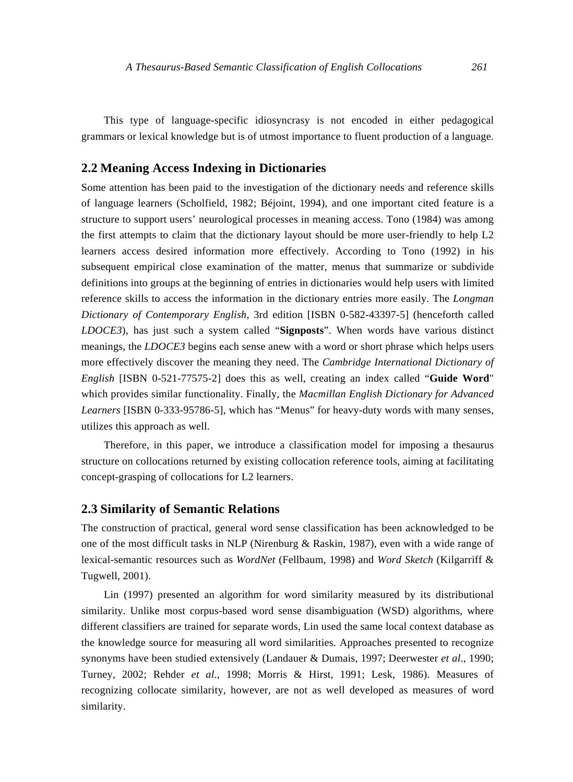This type of language-specific idiosyncrasy is not encoded in either pedagogical grammars or lexical knowledge but is of utmost importance to fluent production of a language.

## **2.2 Meaning Access Indexing in Dictionaries**

Some attention has been paid to the investigation of the dictionary needs and reference skills of language learners (Scholfield, 1982; Béjoint, 1994), and one important cited feature is a structure to support users' neurological processes in meaning access. Tono (1984) was among the first attempts to claim that the dictionary layout should be more user-friendly to help L2 learners access desired information more effectively. According to Tono (1992) in his subsequent empirical close examination of the matter, menus that summarize or subdivide definitions into groups at the beginning of entries in dictionaries would help users with limited reference skills to access the information in the dictionary entries more easily. The *Longman Dictionary of Contemporary English*, 3rd edition [ISBN 0-582-43397-5] (henceforth called *LDOCE3*), has just such a system called "**Signposts**". When words have various distinct meanings, the *LDOCE3* begins each sense anew with a word or short phrase which helps users more effectively discover the meaning they need. The *Cambridge International Dictionary of English* [ISBN 0-521-77575-2] does this as well, creating an index called "**Guide Word**" which provides similar functionality. Finally, the *Macmillan English Dictionary for Advanced Learners* [ISBN 0-333-95786-5], which has "Menus" for heavy-duty words with many senses, utilizes this approach as well.

Therefore, in this paper, we introduce a classification model for imposing a thesaurus structure on collocations returned by existing collocation reference tools, aiming at facilitating concept-grasping of collocations for L2 learners.

#### **2.3 Similarity of Semantic Relations**

The construction of practical, general word sense classification has been acknowledged to be one of the most difficult tasks in NLP (Nirenburg & Raskin, 1987), even with a wide range of lexical-semantic resources such as *WordNet* (Fellbaum, 1998) and *Word Sketch* (Kilgarriff & Tugwell, 2001).

Lin (1997) presented an algorithm for word similarity measured by its distributional similarity. Unlike most corpus-based word sense disambiguation (WSD) algorithms, where different classifiers are trained for separate words, Lin used the same local context database as the knowledge source for measuring all word similarities. Approaches presented to recognize synonyms have been studied extensively (Landauer & Dumais, 1997; Deerwester *et al*., 1990; Turney, 2002; Rehder *et al*., 1998; Morris & Hirst, 1991; Lesk, 1986). Measures of recognizing collocate similarity, however, are not as well developed as measures of word similarity.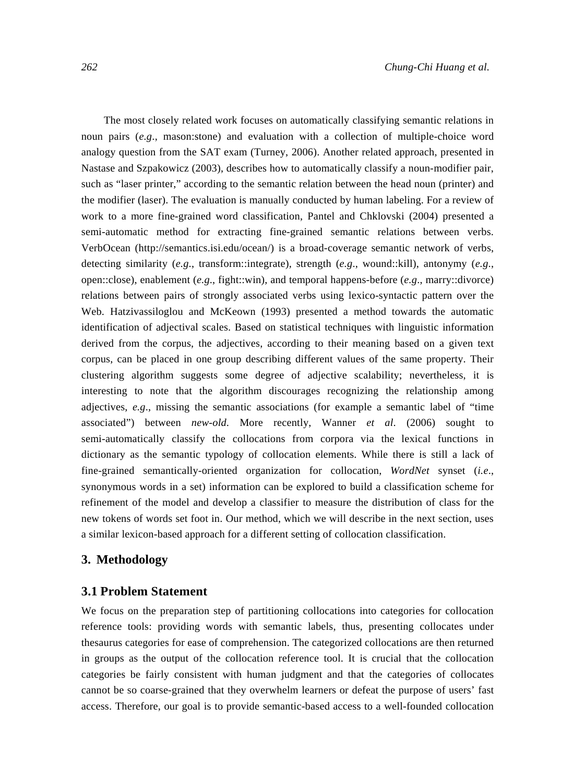The most closely related work focuses on automatically classifying semantic relations in noun pairs (*e.g*., mason:stone) and evaluation with a collection of multiple-choice word analogy question from the SAT exam (Turney, 2006). Another related approach, presented in Nastase and Szpakowicz (2003), describes how to automatically classify a noun-modifier pair, such as "laser printer," according to the semantic relation between the head noun (printer) and the modifier (laser). The evaluation is manually conducted by human labeling. For a review of work to a more fine-grained word classification, Pantel and Chklovski (2004) presented a semi-automatic method for extracting fine-grained semantic relations between verbs. VerbOcean (http://semantics.isi.edu/ocean/) is a broad-coverage semantic network of verbs, detecting similarity (*e.g*., transform::integrate), strength (*e.g*., wound::kill), antonymy (*e.g*., open::close), enablement (*e.g*., fight::win), and temporal happens-before (*e.g*., marry::divorce) relations between pairs of strongly associated verbs using lexico-syntactic pattern over the Web. Hatzivassiloglou and McKeown (1993) presented a method towards the automatic identification of adjectival scales. Based on statistical techniques with linguistic information derived from the corpus, the adjectives, according to their meaning based on a given text corpus, can be placed in one group describing different values of the same property. Their clustering algorithm suggests some degree of adjective scalability; nevertheless, it is interesting to note that the algorithm discourages recognizing the relationship among adjectives, *e.g*., missing the semantic associations (for example a semantic label of "time associated") between *new-old*. More recently, Wanner *et al*. (2006) sought to semi-automatically classify the collocations from corpora via the lexical functions in dictionary as the semantic typology of collocation elements. While there is still a lack of fine-grained semantically-oriented organization for collocation, *WordNet* synset (*i.e*., synonymous words in a set) information can be explored to build a classification scheme for refinement of the model and develop a classifier to measure the distribution of class for the new tokens of words set foot in. Our method, which we will describe in the next section, uses a similar lexicon-based approach for a different setting of collocation classification.

## **3. Methodology**

## **3.1 Problem Statement**

We focus on the preparation step of partitioning collocations into categories for collocation reference tools: providing words with semantic labels, thus, presenting collocates under thesaurus categories for ease of comprehension. The categorized collocations are then returned in groups as the output of the collocation reference tool. It is crucial that the collocation categories be fairly consistent with human judgment and that the categories of collocates cannot be so coarse-grained that they overwhelm learners or defeat the purpose of users' fast access. Therefore, our goal is to provide semantic-based access to a well-founded collocation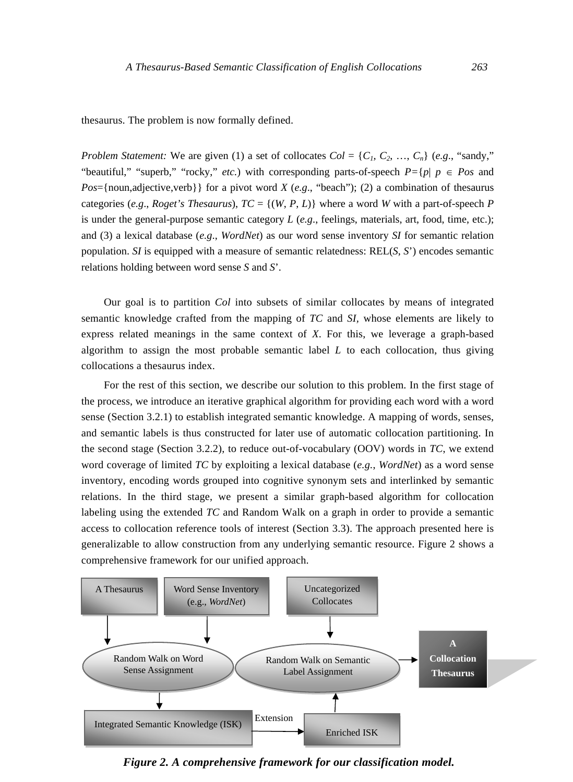thesaurus. The problem is now formally defined.

*Problem Statement:* We are given (1) a set of collocates  $Col = \{C_1, C_2, ..., C_n\}$  (*e.g.*, "sandy," "beautiful," "superb," "rocky," *etc.*) with corresponding parts-of-speech  $P = \{p | p \in Pos \text{ and } p\}$ *Pos*={noun,adjective,verb}} for a pivot word *X* (*e.g*., "beach"); (2) a combination of thesaurus categories (*e.g.*, *Roget's Thesaurus*),  $TC = \{(W, P, L)\}\$  where a word *W* with a part-of-speech *P* is under the general-purpose semantic category *L* (*e.g*., feelings, materials, art, food, time, etc.); and (3) a lexical database (*e.g*., *WordNet*) as our word sense inventory *SI* for semantic relation population. *SI* is equipped with a measure of semantic relatedness: REL(*S*, *S*') encodes semantic relations holding between word sense *S* and *S*'.

Our goal is to partition *Col* into subsets of similar collocates by means of integrated semantic knowledge crafted from the mapping of *TC* and *SI,* whose elements are likely to express related meanings in the same context of *X*. For this, we leverage a graph-based algorithm to assign the most probable semantic label *L* to each collocation, thus giving collocations a thesaurus index.

For the rest of this section, we describe our solution to this problem. In the first stage of the process, we introduce an iterative graphical algorithm for providing each word with a word sense (Section 3.2.1) to establish integrated semantic knowledge. A mapping of words, senses, and semantic labels is thus constructed for later use of automatic collocation partitioning. In the second stage (Section 3.2.2), to reduce out-of-vocabulary (OOV) words in *TC*, we extend word coverage of limited *TC* by exploiting a lexical database (*e.g.*, *WordNet*) as a word sense inventory, encoding words grouped into cognitive synonym sets and interlinked by semantic relations. In the third stage, we present a similar graph-based algorithm for collocation labeling using the extended *TC* and Random Walk on a graph in order to provide a semantic access to collocation reference tools of interest (Section 3.3). The approach presented here is generalizable to allow construction from any underlying semantic resource. Figure 2 shows a comprehensive framework for our unified approach.



*Figure 2. A comprehensive framework for our classification model.*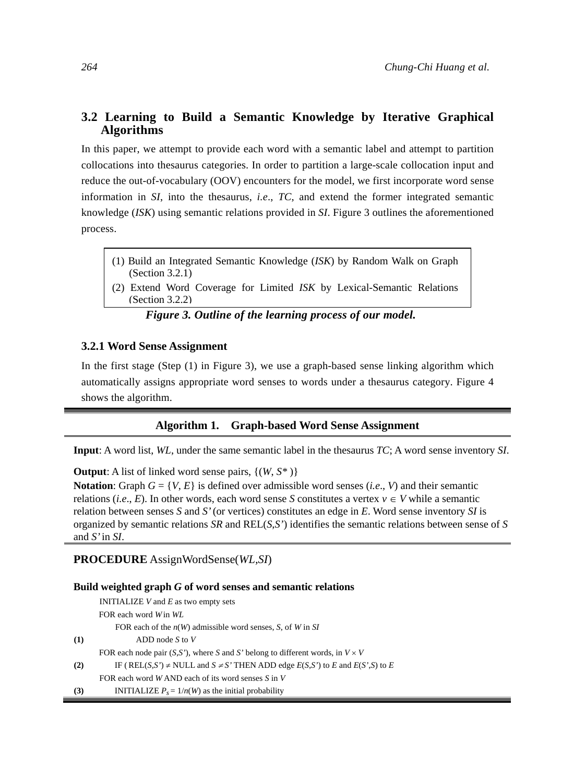# **3.2 Learning to Build a Semantic Knowledge by Iterative Graphical Algorithms**

In this paper, we attempt to provide each word with a semantic label and attempt to partition collocations into thesaurus categories. In order to partition a large-scale collocation input and reduce the out-of-vocabulary (OOV) encounters for the model, we first incorporate word sense information in *SI*, into the thesaurus, *i.e*., *TC*, and extend the former integrated semantic knowledge (*ISK*) using semantic relations provided in *SI*. Figure 3 outlines the aforementioned process.

- (1) Build an Integrated Semantic Knowledge (*ISK*) by Random Walk on Graph (Section 3.2.1)
- (2) Extend Word Coverage for Limited *ISK* by Lexical-Semantic Relations (Section 3.2.2)

## *Figure 3. Outline of the learning process of our model.*

#### **3.2.1 Word Sense Assignment**

In the first stage (Step (1) in Figure 3), we use a graph-based sense linking algorithm which automatically assigns appropriate word senses to words under a thesaurus category. Figure 4 shows the algorithm.

#### **Algorithm 1. Graph-based Word Sense Assignment**

**Input**: A word list, *WL*, under the same semantic label in the thesaurus *TC*; A word sense inventory *SI*.

**Output**: A list of linked word sense pairs, {(*W*, *S\** )}

**Notation**: Graph  $G = \{V, E\}$  is defined over admissible word senses (*i.e.*, *V*) and their semantic relations (*i.e.*, *E*). In other words, each word sense *S* constitutes a vertex  $v \in V$  while a semantic relation between senses *S* and *S'* (or vertices) constitutes an edge in *E*. Word sense inventory *SI* is organized by semantic relations *SR* and REL(*S*,*S'*) identifies the semantic relations between sense of *S* and *S'* in *SI*.

**PROCEDURE** AssignWordSense(*WL,SI*)

#### **Build weighted graph** *G* **of word senses and semantic relations**

|     | INITIALIZE $V$ and $E$ as two empty sets                                                    |
|-----|---------------------------------------------------------------------------------------------|
|     | FOR each word Win WL                                                                        |
|     | FOR each of the $n(W)$ admissible word senses, S, of W in SI                                |
| (1) | ADD node $S$ to $V$                                                                         |
|     | FOR each node pair $(S, S')$ , where S and S' belong to different words, in $V \times V$    |
| (2) | IF (REL(S,S') $\neq$ NULL and $S \neq S'$ THEN ADD edge $E(S, S')$ to E and $E(S', S)$ to E |
|     | FOR each word WAND each of its word senses $S$ in $V$                                       |
| (3) | INITIALIZE $P_s = 1/n(W)$ as the initial probability                                        |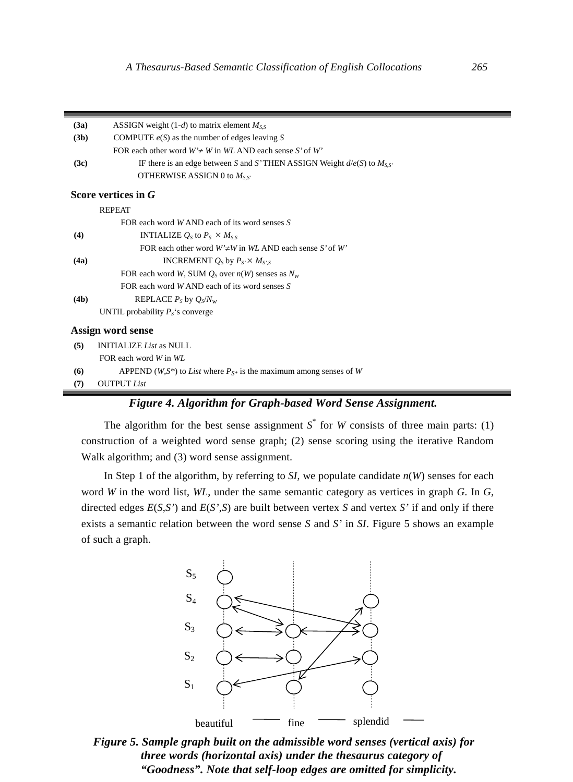| (3a) | ASSIGN weight $(1-d)$ to matrix element $M_{SS}$                                    |
|------|-------------------------------------------------------------------------------------|
| (3b) | COMPUTE $e(S)$ as the number of edges leaving S                                     |
|      | FOR each other word $W \neq W$ in WL AND each sense S' of W'                        |
| (3c) | IF there is an edge between S and S'THEN ASSIGN Weight $d/e(S)$ to $M_{SS'}$        |
|      | OTHERWISE ASSIGN 0 to $M_{SS'}$                                                     |
|      | Score vertices in G                                                                 |
|      | <b>REPEAT</b>                                                                       |
|      | FOR each word WAND each of its word senses S                                        |
| (4)  | <b>INTIALIZE</b> $Q_S$ to $P_S \times M_{SS}$                                       |
|      | FOR each other word $W\neq W$ in WL AND each sense S' of W'                         |
| (4a) | INCREMENT $Q_S$ by $P_{S'} \times M_{S'S}$                                          |
|      | FOR each word W, SUM $Q_s$ over $n(W)$ senses as $N_w$                              |
|      | FOR each word $W$ AND each of its word senses $S$                                   |
| (4b) | REPLACE $P_s$ by $Q_s/N_w$                                                          |
|      | UNTIL probability $P_s$ 's converge                                                 |
|      | Assign word sense                                                                   |
| (5)  | <b>INITIALIZE</b> List as NULL                                                      |
|      | FOR each word W in WL                                                               |
| (6)  | APPEND (W,S <sup>*</sup> ) to List where $P_{S^*}$ is the maximum among senses of W |
| (7)  | <b>OUTPUT</b> List                                                                  |

# *Figure 4. Algorithm for Graph-based Word Sense Assignment.*

The algorithm for the best sense assignment  $S^*$  for *W* consists of three main parts: (1) construction of a weighted word sense graph; (2) sense scoring using the iterative Random Walk algorithm; and (3) word sense assignment.

In Step 1 of the algorithm, by referring to  $SI$ , we populate candidate  $n(W)$  senses for each word *W* in the word list, *WL*, under the same semantic category as vertices in graph *G*. In *G*, directed edges *E*(*S*,*S'*) and *E*(*S'*,*S*) are built between vertex *S* and vertex *S'* if and only if there exists a semantic relation between the word sense *S* and *S'* in *SI*. Figure 5 shows an example of such a graph.



*Figure 5. Sample graph built on the admissible word senses (vertical axis) for three words (horizontal axis) under the thesaurus category of "Goodness". Note that self-loop edges are omitted for simplicity.*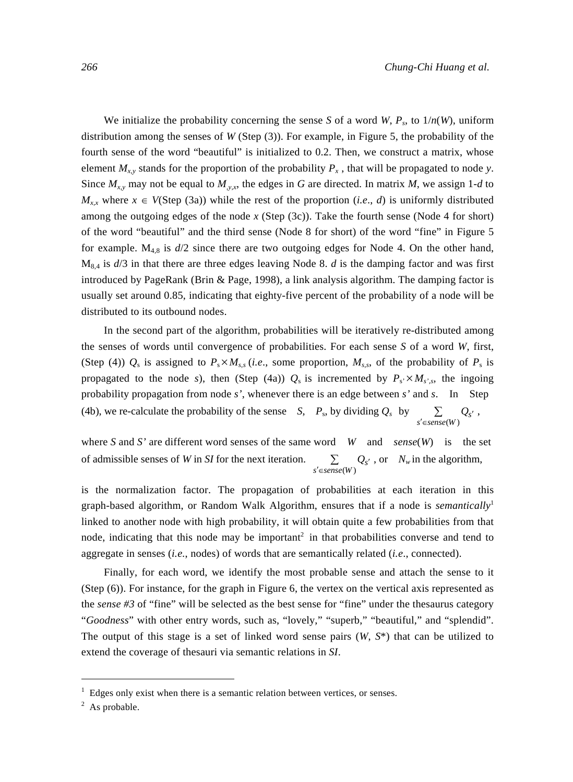We initialize the probability concerning the sense *S* of a word *W*,  $P_s$ , to  $1/n(W)$ , uniform distribution among the senses of *W* (Step (3)). For example, in Figure 5, the probability of the fourth sense of the word "beautiful" is initialized to 0.2. Then, we construct a matrix, whose element  $M_{x,y}$  stands for the proportion of the probability  $P_x$ , that will be propagated to node *y*. Since  $M_{x,y}$  may not be equal to  $M_{y,x}$ , the edges in *G* are directed. In matrix *M*, we assign 1-*d* to  $M_{x,x}$  where  $x \in V(\text{Step (3a)})$  while the rest of the proportion (*i.e.*, *d*) is uniformly distributed among the outgoing edges of the node *x* (Step (3c)). Take the fourth sense (Node 4 for short) of the word "beautiful" and the third sense (Node 8 for short) of the word "fine" in Figure 5 for example.  $M_{4,8}$  is  $d/2$  since there are two outgoing edges for Node 4. On the other hand,  $M_{8,4}$  is  $d/3$  in that there are three edges leaving Node 8. *d* is the damping factor and was first introduced by PageRank (Brin & Page, 1998), a link analysis algorithm. The damping factor is usually set around 0.85, indicating that eighty-five percent of the probability of a node will be distributed to its outbound nodes.

In the second part of the algorithm, probabilities will be iteratively re-distributed among the senses of words until convergence of probabilities. For each sense *S* of a word *W*, first, (Step (4))  $Q_s$  is assigned to  $P_s \times M_{s,s}$  (*i.e.*, some proportion,  $M_{s,s}$ , of the probability of  $P_s$  is propagated to the node *s*), then (Step (4a))  $Q_s$  is incremented by  $P_s \times M_{s,s}$ , the ingoing probability propagation from node *s'*, whenever there is an edge between *s'* and *s*. In Step (4b), we re-calculate the probability of the sense *S*, *P*<sub>s</sub>, by dividing  $Q_s$  by  $\sum_{s' \in sense(W)} Q_{s'}$ ,

where *S* and *S'* are different word senses of the same word *W* and *sense*(*W*) is the set of admissible senses of *W* in *SI* for the next iteration.  $\sum_{s' \in sense(W)} Q_{s'}$ , or  $N_w$  in the algorithm,

is the normalization factor. The propagation of probabilities at each iteration in this graph-based algorithm, or Random Walk Algorithm, ensures that if a node is *semantically*<sup>1</sup> linked to another node with high probability, it will obtain quite a few probabilities from that node, indicating that this node may be important<sup>2</sup> in that probabilities converse and tend to aggregate in senses (*i.e.*, nodes) of words that are semantically related (*i.e*., connected).

Finally, for each word, we identify the most probable sense and attach the sense to it (Step (6)). For instance, for the graph in Figure 6, the vertex on the vertical axis represented as the *sense #3* of "fine" will be selected as the best sense for "fine" under the thesaurus category "*Goodness*" with other entry words, such as, "lovely," "superb," "beautiful," and "splendid". The output of this stage is a set of linked word sense pairs (*W*, *S*\*) that can be utilized to extend the coverage of thesauri via semantic relations in *SI*.

 $<sup>1</sup>$  Edges only exist when there is a semantic relation between vertices, or senses.</sup>

 $<sup>2</sup>$  As probable.</sup>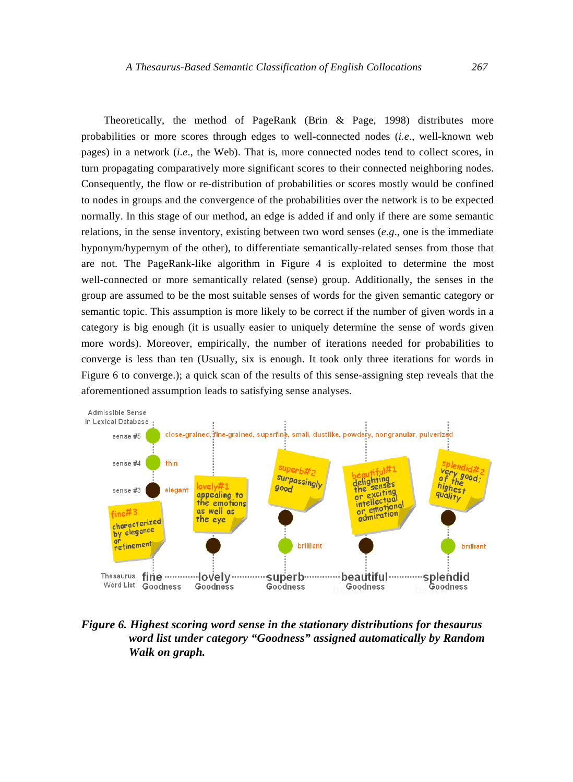Theoretically, the method of PageRank (Brin & Page, 1998) distributes more probabilities or more scores through edges to well-connected nodes (*i.e*., well-known web pages) in a network (*i.e*., the Web). That is, more connected nodes tend to collect scores, in turn propagating comparatively more significant scores to their connected neighboring nodes. Consequently, the flow or re-distribution of probabilities or scores mostly would be confined to nodes in groups and the convergence of the probabilities over the network is to be expected normally. In this stage of our method, an edge is added if and only if there are some semantic relations, in the sense inventory, existing between two word senses (*e.g*., one is the immediate hyponym/hypernym of the other), to differentiate semantically-related senses from those that are not. The PageRank-like algorithm in Figure 4 is exploited to determine the most well-connected or more semantically related (sense) group. Additionally, the senses in the group are assumed to be the most suitable senses of words for the given semantic category or semantic topic. This assumption is more likely to be correct if the number of given words in a category is big enough (it is usually easier to uniquely determine the sense of words given more words). Moreover, empirically, the number of iterations needed for probabilities to converge is less than ten (Usually, six is enough. It took only three iterations for words in Figure 6 to converge.); a quick scan of the results of this sense-assigning step reveals that the aforementioned assumption leads to satisfying sense analyses.



*Figure 6. Highest scoring word sense in the stationary distributions for thesaurus word list under category "Goodness" assigned automatically by Random Walk on graph.*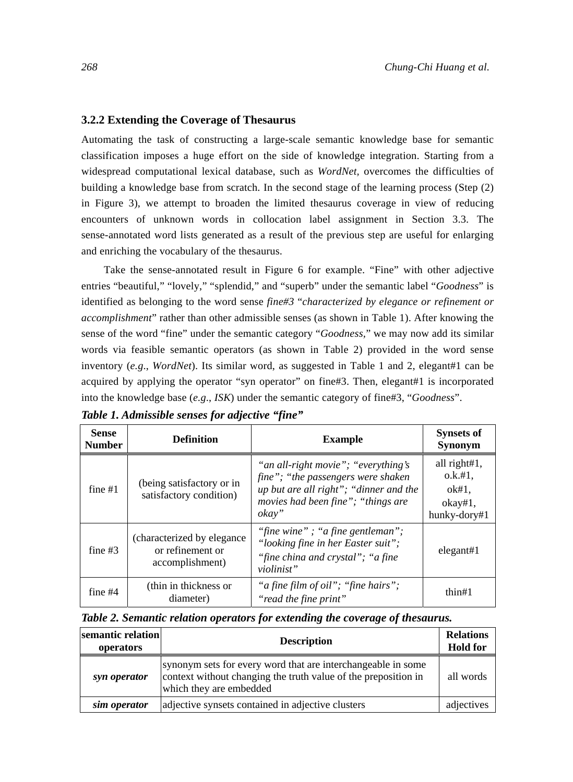## **3.2.2 Extending the Coverage of Thesaurus**

Automating the task of constructing a large-scale semantic knowledge base for semantic classification imposes a huge effort on the side of knowledge integration. Starting from a widespread computational lexical database, such as *WordNet,* overcomes the difficulties of building a knowledge base from scratch. In the second stage of the learning process (Step (2) in Figure 3), we attempt to broaden the limited thesaurus coverage in view of reducing encounters of unknown words in collocation label assignment in Section 3.3. The sense-annotated word lists generated as a result of the previous step are useful for enlarging and enriching the vocabulary of the thesaurus.

Take the sense-annotated result in Figure 6 for example. "Fine" with other adjective entries "beautiful," "lovely," "splendid," and "superb" under the semantic label "*Goodness*" is identified as belonging to the word sense *fine#3* "*characterized by elegance or refinement or accomplishment*" rather than other admissible senses (as shown in Table 1). After knowing the sense of the word "fine" under the semantic category "*Goodness,*" we may now add its similar words via feasible semantic operators (as shown in Table 2) provided in the word sense inventory (e.g., *WordNet*). Its similar word, as suggested in Table 1 and 2, elegant#1 can be acquired by applying the operator "syn operator" on fine#3. Then, elegant#1 is incorporated into the knowledge base (*e.g*., *ISK*) under the semantic category of fine#3, "*Goodness*".

| <b>Sense</b><br><b>Number</b> | <b>Definition</b>                                                  | <b>Example</b>                                                                                                                                                     | <b>Synsets of</b><br>Synonym                                    |
|-------------------------------|--------------------------------------------------------------------|--------------------------------------------------------------------------------------------------------------------------------------------------------------------|-----------------------------------------------------------------|
| fine $#1$                     | (being satisfactory or in<br>satisfactory condition)               | "an all-right movie"; "everything's<br>fine"; "the passengers were shaken<br>up but are all right"; "dinner and the<br>movies had been fine"; "things are<br>okay" | all right#1,<br>0.k. #1,<br>$ok#1$ ,<br>okay#1,<br>hunky-dory#1 |
| fine $#3$                     | (characterized by elegance)<br>or refinement or<br>accomplishment) | "fine wine"; "a fine gentleman";<br>"looking fine in her Easter suit";<br>"fine china and crystal"; "a fine<br>violinist"                                          | elegant#1                                                       |
| fine $#4$                     | (thin in thickness or<br>diameter)                                 | "a fine film of oil"; "fine hairs";<br>"read the fine print"                                                                                                       | thin#1                                                          |

*Table 1. Admissible senses for adjective "fine"* 

| Table 2. Semantic relation operators for extending the coverage of thesaurus. |  |  |  |  |  |  |  |  |  |  |
|-------------------------------------------------------------------------------|--|--|--|--|--|--|--|--|--|--|
|-------------------------------------------------------------------------------|--|--|--|--|--|--|--|--|--|--|

| semantic relation<br>operators | <b>Description</b>                                                                                                                                        | <b>Relations</b><br><b>Hold for</b> |
|--------------------------------|-----------------------------------------------------------------------------------------------------------------------------------------------------------|-------------------------------------|
| syn operator                   | synonym sets for every word that are interchangeable in some<br>context without changing the truth value of the preposition in<br>which they are embedded | all words                           |
| sim operator                   | adjective synsets contained in adjective clusters                                                                                                         | adjectives                          |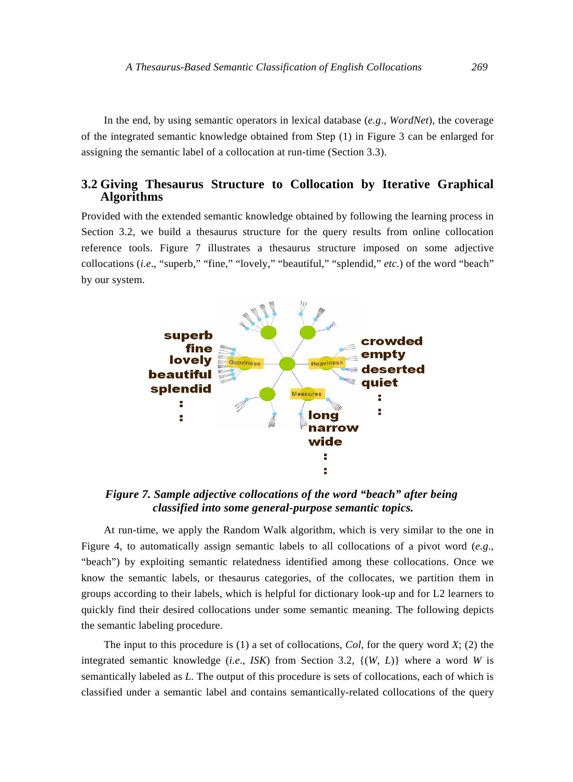In the end, by using semantic operators in lexical database (*e.g*., *WordNet*), the coverage of the integrated semantic knowledge obtained from Step (1) in Figure 3 can be enlarged for assigning the semantic label of a collocation at run-time (Section 3.3).

## **3.2 Giving Thesaurus Structure to Collocation by Iterative Graphical Algorithms**

Provided with the extended semantic knowledge obtained by following the learning process in Section 3.2, we build a thesaurus structure for the query results from online collocation reference tools. Figure 7 illustrates a thesaurus structure imposed on some adjective collocations (*i.e*., "superb," "fine," "lovely," "beautiful," "splendid," *etc*.) of the word "beach" by our system.



*Figure 7. Sample adjective collocations of the word "beach" after being classified into some general-purpose semantic topics.* 

At run-time, we apply the Random Walk algorithm, which is very similar to the one in Figure 4, to automatically assign semantic labels to all collocations of a pivot word (*e.g*., "beach") by exploiting semantic relatedness identified among these collocations. Once we know the semantic labels, or thesaurus categories, of the collocates, we partition them in groups according to their labels, which is helpful for dictionary look-up and for L2 learners to quickly find their desired collocations under some semantic meaning. The following depicts the semantic labeling procedure.

The input to this procedure is (1) a set of collocations, *Col*, for the query word *X*; (2) the integrated semantic knowledge (*i.e*., *ISK*) from Section 3.2, {(*W*, *L*)} where a word *W* is semantically labeled as *L*. The output of this procedure is sets of collocations, each of which is classified under a semantic label and contains semantically-related collocations of the query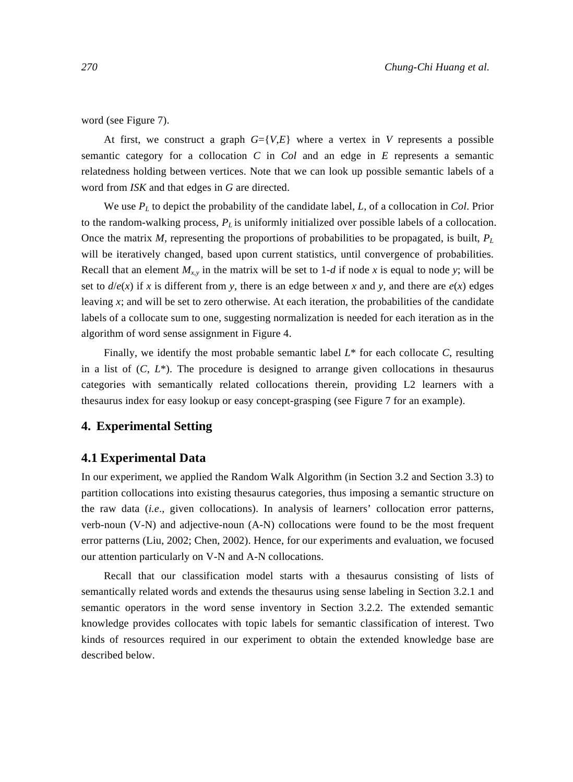word (see Figure 7).

At first, we construct a graph  $G = \{V,E\}$  where a vertex in V represents a possible semantic category for a collocation *C* in *Col* and an edge in *E* represents a semantic relatedness holding between vertices. Note that we can look up possible semantic labels of a word from *ISK* and that edges in *G* are directed.

We use *PL* to depict the probability of the candidate label, *L*, of a collocation in *Col*. Prior to the random-walking process,  $P_L$  is uniformly initialized over possible labels of a collocation. Once the matrix  $M$ , representing the proportions of probabilities to be propagated, is built,  $P_L$ will be iteratively changed, based upon current statistics, until convergence of probabilities. Recall that an element  $M_{x,y}$  in the matrix will be set to 1-*d* if node *x* is equal to node *y*; will be set to  $d/e(x)$  if *x* is different from *y*, there is an edge between *x* and *y*, and there are  $e(x)$  edges leaving *x*; and will be set to zero otherwise. At each iteration, the probabilities of the candidate labels of a collocate sum to one, suggesting normalization is needed for each iteration as in the algorithm of word sense assignment in Figure 4.

Finally, we identify the most probable semantic label  $L^*$  for each collocate *C*, resulting in a list of  $(C, L^*)$ . The procedure is designed to arrange given collocations in thesaurus categories with semantically related collocations therein, providing L2 learners with a thesaurus index for easy lookup or easy concept-grasping (see Figure 7 for an example).

## **4. Experimental Setting**

## **4.1 Experimental Data**

In our experiment, we applied the Random Walk Algorithm (in Section 3.2 and Section 3.3) to partition collocations into existing thesaurus categories, thus imposing a semantic structure on the raw data (*i.e*., given collocations). In analysis of learners' collocation error patterns, verb-noun (V-N) and adjective-noun (A-N) collocations were found to be the most frequent error patterns (Liu, 2002; Chen, 2002). Hence, for our experiments and evaluation, we focused our attention particularly on V-N and A-N collocations.

Recall that our classification model starts with a thesaurus consisting of lists of semantically related words and extends the thesaurus using sense labeling in Section 3.2.1 and semantic operators in the word sense inventory in Section 3.2.2. The extended semantic knowledge provides collocates with topic labels for semantic classification of interest. Two kinds of resources required in our experiment to obtain the extended knowledge base are described below.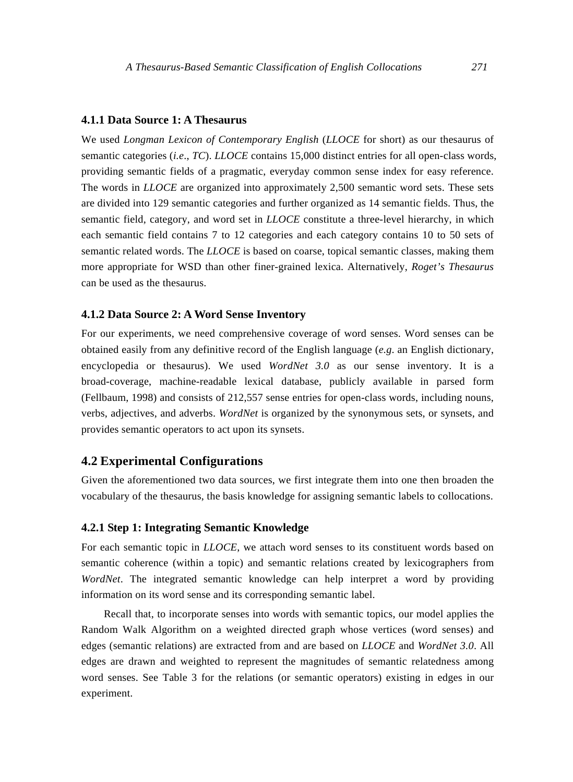## **4.1.1 Data Source 1: A Thesaurus**

We used *Longman Lexicon of Contemporary English* (*LLOCE* for short) as our thesaurus of semantic categories (*i.e*., *TC*). *LLOCE* contains 15,000 distinct entries for all open-class words, providing semantic fields of a pragmatic, everyday common sense index for easy reference. The words in *LLOCE* are organized into approximately 2,500 semantic word sets. These sets are divided into 129 semantic categories and further organized as 14 semantic fields. Thus, the semantic field, category, and word set in *LLOCE* constitute a three-level hierarchy, in which each semantic field contains 7 to 12 categories and each category contains 10 to 50 sets of semantic related words. The *LLOCE* is based on coarse, topical semantic classes, making them more appropriate for WSD than other finer-grained lexica. Alternatively, *Roget's Thesaurus*  can be used as the thesaurus.

#### **4.1.2 Data Source 2: A Word Sense Inventory**

For our experiments, we need comprehensive coverage of word senses. Word senses can be obtained easily from any definitive record of the English language (*e.g*. an English dictionary, encyclopedia or thesaurus). We used *WordNet 3.0* as our sense inventory. It is a broad-coverage, machine-readable lexical database, publicly available in parsed form (Fellbaum, 1998) and consists of 212,557 sense entries for open-class words, including nouns, verbs, adjectives, and adverbs. *WordNet* is organized by the synonymous sets, or synsets, and provides semantic operators to act upon its synsets.

## **4.2 Experimental Configurations**

Given the aforementioned two data sources, we first integrate them into one then broaden the vocabulary of the thesaurus, the basis knowledge for assigning semantic labels to collocations.

## **4.2.1 Step 1: Integrating Semantic Knowledge**

For each semantic topic in *LLOCE*, we attach word senses to its constituent words based on semantic coherence (within a topic) and semantic relations created by lexicographers from *WordNet*. The integrated semantic knowledge can help interpret a word by providing information on its word sense and its corresponding semantic label.

Recall that, to incorporate senses into words with semantic topics, our model applies the Random Walk Algorithm on a weighted directed graph whose vertices (word senses) and edges (semantic relations) are extracted from and are based on *LLOCE* and *WordNet 3.0*. All edges are drawn and weighted to represent the magnitudes of semantic relatedness among word senses. See Table 3 for the relations (or semantic operators) existing in edges in our experiment.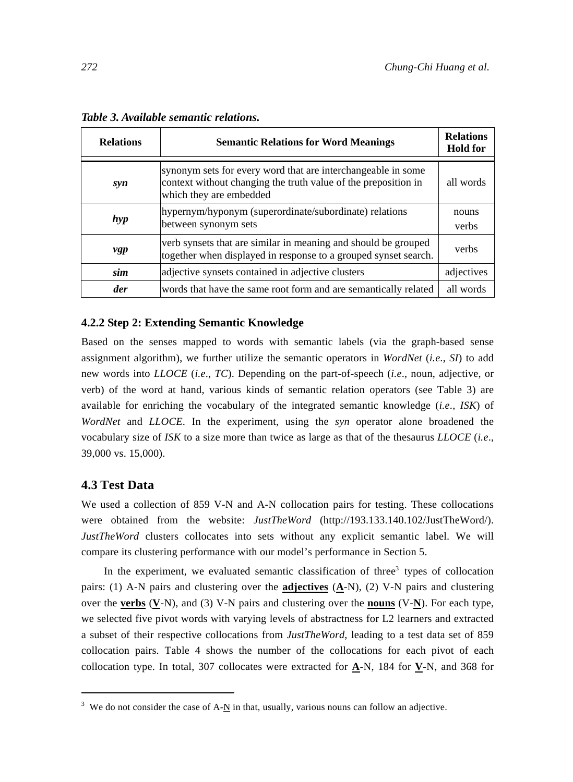| <b>Semantic Relations for Word Meanings</b><br><b>Relations</b> |                                                                                                                                                           | <b>Relations</b><br><b>Hold for</b> |  |  |
|-----------------------------------------------------------------|-----------------------------------------------------------------------------------------------------------------------------------------------------------|-------------------------------------|--|--|
| syn                                                             | synonym sets for every word that are interchangeable in some<br>context without changing the truth value of the preposition in<br>which they are embedded | all words                           |  |  |
| hyp                                                             | hypernym/hyponym (superordinate/subordinate) relations<br>between synonym sets                                                                            | nouns<br>verbs                      |  |  |
| vgp                                                             | verb synsets that are similar in meaning and should be grouped<br>together when displayed in response to a grouped synset search.                         | verbs                               |  |  |
| sim                                                             | adjective synsets contained in adjective clusters                                                                                                         |                                     |  |  |
| der                                                             | words that have the same root form and are semantically related                                                                                           |                                     |  |  |

*Table 3. Available semantic relations.* 

#### **4.2.2 Step 2: Extending Semantic Knowledge**

Based on the senses mapped to words with semantic labels (via the graph-based sense assignment algorithm), we further utilize the semantic operators in *WordNet* (*i.e*., *SI*) to add new words into *LLOCE* (*i.e*., *TC*). Depending on the part-of-speech (*i.e*., noun, adjective, or verb) of the word at hand, various kinds of semantic relation operators (see Table 3) are available for enriching the vocabulary of the integrated semantic knowledge (*i.e*., *ISK*) of *WordNet* and *LLOCE*. In the experiment, using the *syn* operator alone broadened the vocabulary size of *ISK* to a size more than twice as large as that of the thesaurus *LLOCE* (*i.e*., 39,000 vs. 15,000).

## **4.3 Test Data**

We used a collection of 859 V-N and A-N collocation pairs for testing. These collocations were obtained from the website: *JustTheWord* (http://193.133.140.102/JustTheWord/). *JustTheWord* clusters collocates into sets without any explicit semantic label. We will compare its clustering performance with our model's performance in Section 5.

In the experiment, we evaluated semantic classification of three<sup>3</sup> types of collocation pairs: (1) A-N pairs and clustering over the **adjectives** (**A**-N), (2) V-N pairs and clustering over the **verbs** (**V**-N), and (3) V-N pairs and clustering over the **nouns** (V-**N**). For each type, we selected five pivot words with varying levels of abstractness for L2 learners and extracted a subset of their respective collocations from *JustTheWord*, leading to a test data set of 859 collocation pairs. Table 4 shows the number of the collocations for each pivot of each collocation type. In total, 307 collocates were extracted for **A**-N, 184 for **V**-N, and 368 for

<sup>&</sup>lt;sup>3</sup> We do not consider the case of A- $N$  in that, usually, various nouns can follow an adjective.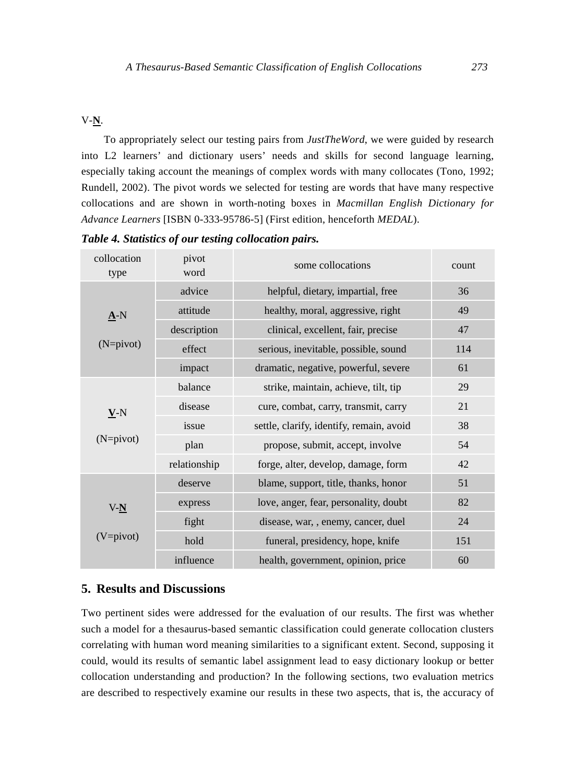# V-**N**.

To appropriately select our testing pairs from *JustTheWord*, we were guided by research into L2 learners' and dictionary users' needs and skills for second language learning, especially taking account the meanings of complex words with many collocates (Tono, 1992; Rundell, 2002). The pivot words we selected for testing are words that have many respective collocations and are shown in worth-noting boxes in *Macmillan English Dictionary for Advance Learners* [ISBN 0-333-95786-5] (First edition, henceforth *MEDAL*).

| collocation<br>type | pivot<br>word | some collocations                        | count |
|---------------------|---------------|------------------------------------------|-------|
|                     | advice        | helpful, dietary, impartial, free        | 36    |
| $\underline{A}$ -N  | attitude      | healthy, moral, aggressive, right        | 49    |
|                     | description   | clinical, excellent, fair, precise       | 47    |
| $(N=pivot)$         | effect        | serious, inevitable, possible, sound     | 114   |
|                     | impact        | dramatic, negative, powerful, severe     | 61    |
|                     | balance       | strike, maintain, achieve, tilt, tip     | 29    |
| $V-N$               | disease       | cure, combat, carry, transmit, carry     | 21    |
|                     | issue         | settle, clarify, identify, remain, avoid | 38    |
| $(N=pivot)$         | plan          | propose, submit, accept, involve         | 54    |
|                     | relationship  | forge, alter, develop, damage, form      | 42    |
|                     | deserve       | blame, support, title, thanks, honor     | 51    |
| $V_{-}N$            | express       | love, anger, fear, personality, doubt    | 82    |
|                     | fight         | disease, war, , enemy, cancer, duel      | 24    |
| $(V=pi vot)$        | hold          | funeral, presidency, hope, knife         | 151   |
|                     | influence     | health, government, opinion, price       | 60    |

*Table 4. Statistics of our testing collocation pairs.* 

# **5. Results and Discussions**

Two pertinent sides were addressed for the evaluation of our results. The first was whether such a model for a thesaurus-based semantic classification could generate collocation clusters correlating with human word meaning similarities to a significant extent. Second, supposing it could, would its results of semantic label assignment lead to easy dictionary lookup or better collocation understanding and production? In the following sections, two evaluation metrics are described to respectively examine our results in these two aspects, that is, the accuracy of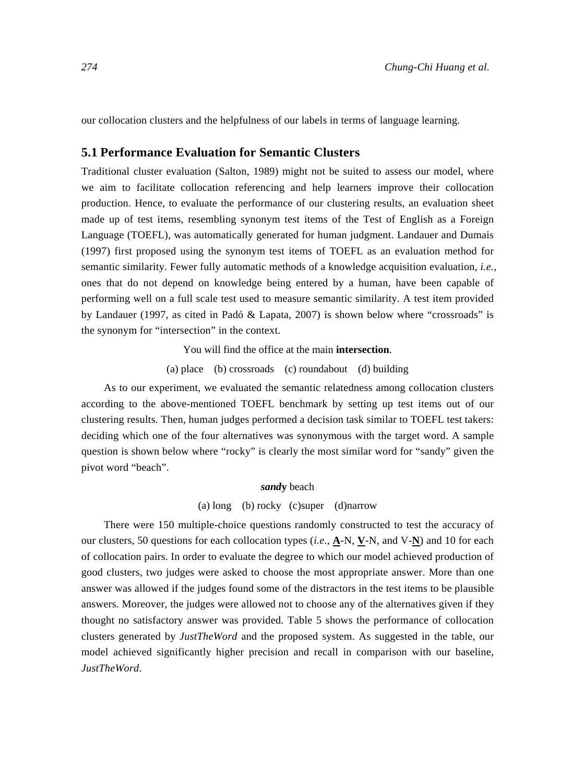our collocation clusters and the helpfulness of our labels in terms of language learning.

## **5.1 Performance Evaluation for Semantic Clusters**

Traditional cluster evaluation (Salton, 1989) might not be suited to assess our model, where we aim to facilitate collocation referencing and help learners improve their collocation production. Hence, to evaluate the performance of our clustering results, an evaluation sheet made up of test items, resembling synonym test items of the Test of English as a Foreign Language (TOEFL), was automatically generated for human judgment. Landauer and Dumais (1997) first proposed using the synonym test items of TOEFL as an evaluation method for semantic similarity. Fewer fully automatic methods of a knowledge acquisition evaluation, *i.e.,* ones that do not depend on knowledge being entered by a human, have been capable of performing well on a full scale test used to measure semantic similarity. A test item provided by Landauer (1997, as cited in Padó & Lapata, 2007) is shown below where "crossroads" is the synonym for "intersection" in the context.

You will find the office at the main **intersection**.

(a) place (b) crossroads (c) roundabout (d) building

As to our experiment, we evaluated the semantic relatedness among collocation clusters according to the above-mentioned TOEFL benchmark by setting up test items out of our clustering results. Then, human judges performed a decision task similar to TOEFL test takers: deciding which one of the four alternatives was synonymous with the target word. A sample question is shown below where "rocky" is clearly the most similar word for "sandy" given the pivot word "beach".

#### *sand***y** beach

#### (a) long (b) rocky (c)super (d)narrow

There were 150 multiple-choice questions randomly constructed to test the accuracy of our clusters, 50 questions for each collocation types (*i.e*., **A**-N, **V**-N, and V-**N**) and 10 for each of collocation pairs. In order to evaluate the degree to which our model achieved production of good clusters, two judges were asked to choose the most appropriate answer. More than one answer was allowed if the judges found some of the distractors in the test items to be plausible answers. Moreover, the judges were allowed not to choose any of the alternatives given if they thought no satisfactory answer was provided. Table 5 shows the performance of collocation clusters generated by *JustTheWord* and the proposed system. As suggested in the table, our model achieved significantly higher precision and recall in comparison with our baseline, *JustTheWord*.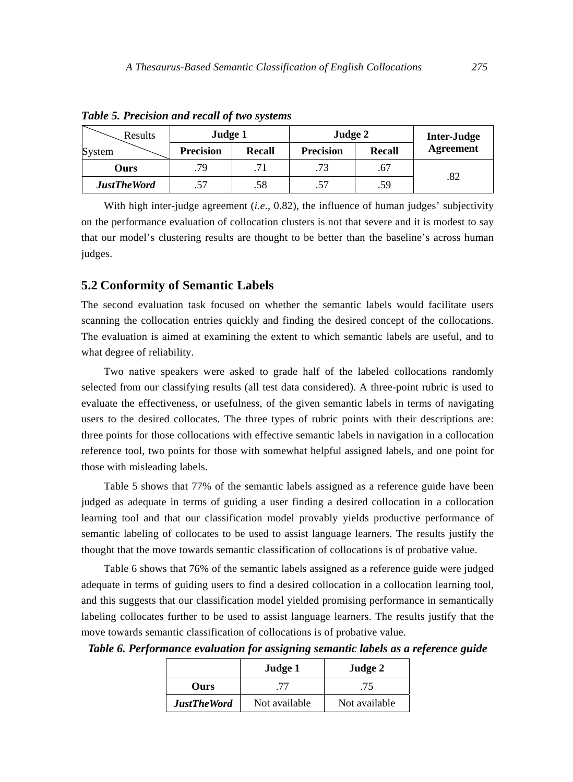| Results            | Judge 1          |               | Judge 2          | Inter-Judge   |                  |
|--------------------|------------------|---------------|------------------|---------------|------------------|
| System             | <b>Precision</b> | <b>Recall</b> | <b>Precision</b> | <b>Recall</b> | <b>Agreement</b> |
| Ours               | .79              |               | .73              | .67           |                  |
| <b>JustTheWord</b> | .57              | .58           | .57              | .59           | .82              |

*Table 5. Precision and recall of two systems* 

With high inter-judge agreement (*i.e*., 0.82), the influence of human judges' subjectivity on the performance evaluation of collocation clusters is not that severe and it is modest to say that our model's clustering results are thought to be better than the baseline's across human judges.

#### **5.2 Conformity of Semantic Labels**

The second evaluation task focused on whether the semantic labels would facilitate users scanning the collocation entries quickly and finding the desired concept of the collocations. The evaluation is aimed at examining the extent to which semantic labels are useful, and to what degree of reliability.

Two native speakers were asked to grade half of the labeled collocations randomly selected from our classifying results (all test data considered). A three-point rubric is used to evaluate the effectiveness, or usefulness, of the given semantic labels in terms of navigating users to the desired collocates. The three types of rubric points with their descriptions are: three points for those collocations with effective semantic labels in navigation in a collocation reference tool, two points for those with somewhat helpful assigned labels, and one point for those with misleading labels.

Table 5 shows that 77% of the semantic labels assigned as a reference guide have been judged as adequate in terms of guiding a user finding a desired collocation in a collocation learning tool and that our classification model provably yields productive performance of semantic labeling of collocates to be used to assist language learners. The results justify the thought that the move towards semantic classification of collocations is of probative value.

Table 6 shows that 76% of the semantic labels assigned as a reference guide were judged adequate in terms of guiding users to find a desired collocation in a collocation learning tool, and this suggests that our classification model yielded promising performance in semantically labeling collocates further to be used to assist language learners. The results justify that the move towards semantic classification of collocations is of probative value.

*Table 6. Performance evaluation for assigning semantic labels as a reference guide* 

|                    | Judge 1       | Judge 2       |  |  |
|--------------------|---------------|---------------|--|--|
| Ours               |               | .75           |  |  |
| <b>JustTheWord</b> | Not available | Not available |  |  |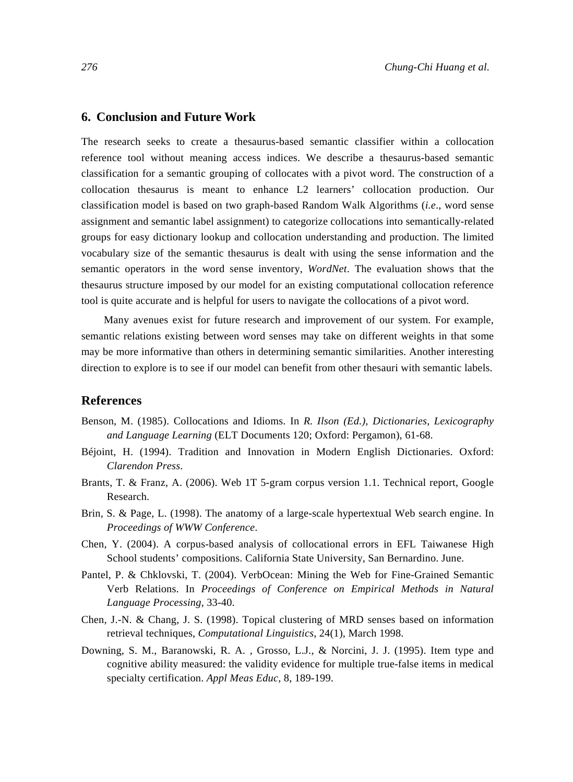## **6. Conclusion and Future Work**

The research seeks to create a thesaurus-based semantic classifier within a collocation reference tool without meaning access indices. We describe a thesaurus-based semantic classification for a semantic grouping of collocates with a pivot word. The construction of a collocation thesaurus is meant to enhance L2 learners' collocation production. Our classification model is based on two graph-based Random Walk Algorithms (*i.e*., word sense assignment and semantic label assignment) to categorize collocations into semantically-related groups for easy dictionary lookup and collocation understanding and production. The limited vocabulary size of the semantic thesaurus is dealt with using the sense information and the semantic operators in the word sense inventory, *WordNet*. The evaluation shows that the thesaurus structure imposed by our model for an existing computational collocation reference tool is quite accurate and is helpful for users to navigate the collocations of a pivot word.

Many avenues exist for future research and improvement of our system. For example, semantic relations existing between word senses may take on different weights in that some may be more informative than others in determining semantic similarities. Another interesting direction to explore is to see if our model can benefit from other thesauri with semantic labels.

## **References**

- Benson, M. (1985). Collocations and Idioms. In *R. Ilson (Ed.), Dictionaries, Lexicography and Language Learning* (ELT Documents 120; Oxford: Pergamon), 61-68.
- Béjoint, H. (1994). Tradition and Innovation in Modern English Dictionaries. Oxford: *Clarendon Press*.
- Brants, T. & Franz, A. (2006). Web 1T 5-gram corpus version 1.1. Technical report, Google Research.
- Brin, S. & Page, L. (1998). The anatomy of a large-scale hypertextual Web search engine. In *Proceedings of WWW Conference*.
- Chen, Y. (2004). A corpus-based analysis of collocational errors in EFL Taiwanese High School students' compositions. California State University, San Bernardino. June.
- Pantel, P. & Chklovski, T. (2004). VerbOcean: Mining the Web for Fine-Grained Semantic Verb Relations. In *Proceedings of Conference on Empirical Methods in Natural Language Processing*, 33-40.
- Chen, J.-N. & Chang, J. S. (1998). Topical clustering of MRD senses based on information retrieval techniques, *Computational Linguistics*, 24(1), March 1998.
- Downing, S. M., Baranowski, R. A. , Grosso, L.J., & Norcini, J. J. (1995). Item type and cognitive ability measured: the validity evidence for multiple true-false items in medical specialty certification. *Appl Meas Educ,* 8, 189-199.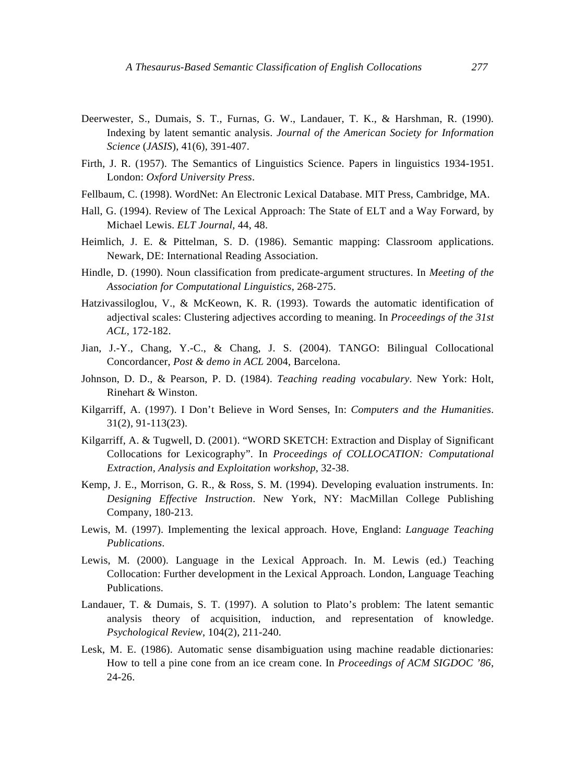- Deerwester, S., Dumais, S. T., Furnas, G. W., Landauer, T. K., & Harshman, R. (1990). Indexing by latent semantic analysis. *Journal of the American Society for Information Science* (*JASIS*), 41(6), 391-407.
- Firth, J. R. (1957). The Semantics of Linguistics Science. Papers in linguistics 1934-1951. London: *Oxford University Press*.
- Fellbaum, C. (1998). WordNet: An Electronic Lexical Database. MIT Press, Cambridge, MA.
- Hall, G. (1994). Review of The Lexical Approach: The State of ELT and a Way Forward, by Michael Lewis. *ELT Journal,* 44, 48.
- Heimlich, J. E. & Pittelman, S. D. (1986). Semantic mapping: Classroom applications. Newark, DE: International Reading Association.
- Hindle, D. (1990). Noun classification from predicate-argument structures. In *Meeting of the Association for Computational Linguistics*, 268-275.
- Hatzivassiloglou, V., & McKeown, K. R. (1993). Towards the automatic identification of adjectival scales: Clustering adjectives according to meaning. In *Proceedings of the 31st ACL*, 172-182.
- Jian, J.-Y., Chang, Y.-C., & Chang, J. S. (2004). TANGO: Bilingual Collocational Concordancer, *Post & demo in ACL* 2004, Barcelona.
- Johnson, D. D., & Pearson, P. D. (1984). *Teaching reading vocabulary*. New York: Holt, Rinehart & Winston.
- Kilgarriff, A. (1997). I Don't Believe in Word Senses, In: *Computers and the Humanities*. 31(2), 91-113(23).
- Kilgarriff, A. & Tugwell, D. (2001). "WORD SKETCH: Extraction and Display of Significant Collocations for Lexicography". In *Proceedings of COLLOCATION: Computational Extraction, Analysis and Exploitation workshop*, 32-38.
- Kemp, J. E., Morrison, G. R., & Ross, S. M. (1994). Developing evaluation instruments. In: *Designing Effective Instruction*. New York, NY: MacMillan College Publishing Company, 180-213.
- Lewis, M. (1997). Implementing the lexical approach. Hove, England: *Language Teaching Publications*.
- Lewis, M. (2000). Language in the Lexical Approach. In. M. Lewis (ed.) Teaching Collocation: Further development in the Lexical Approach. London, Language Teaching **Publications**
- Landauer, T. & Dumais, S. T. (1997). A solution to Plato's problem: The latent semantic analysis theory of acquisition, induction, and representation of knowledge. *Psychological Review*, 104(2), 211-240.
- Lesk, M. E. (1986). Automatic sense disambiguation using machine readable dictionaries: How to tell a pine cone from an ice cream cone. In *Proceedings of ACM SIGDOC '86*, 24-26.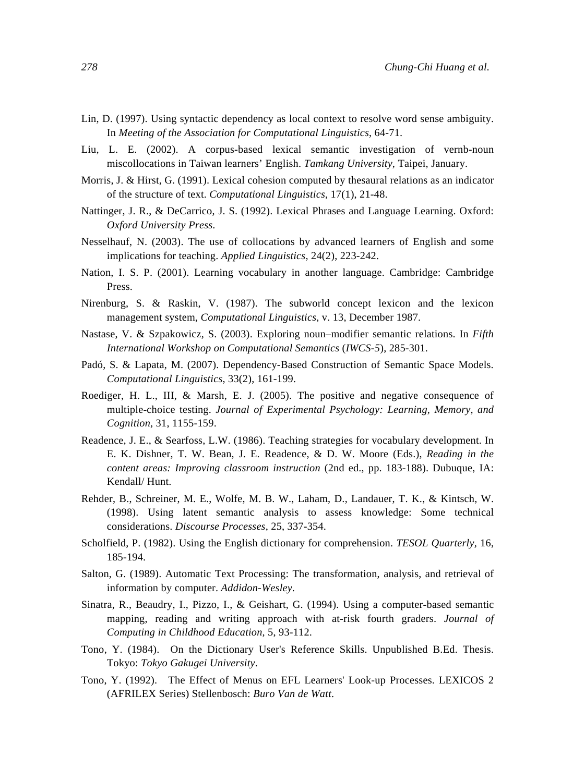- Lin, D. (1997). Using syntactic dependency as local context to resolve word sense ambiguity. In *Meeting of the Association for Computational Linguistics*, 64-71.
- Liu, L. E. (2002). A corpus-based lexical semantic investigation of vernb-noun miscollocations in Taiwan learners' English. *Tamkang University*, Taipei, January.
- Morris, J. & Hirst, G. (1991). Lexical cohesion computed by thesaural relations as an indicator of the structure of text. *Computational Linguistics*, 17(1), 21-48.
- Nattinger, J. R., & DeCarrico, J. S. (1992). Lexical Phrases and Language Learning. Oxford: *Oxford University Press*.
- Nesselhauf, N. (2003). The use of collocations by advanced learners of English and some implications for teaching. *Applied Linguistics,* 24(2), 223-242.
- Nation, I. S. P. (2001). Learning vocabulary in another language. Cambridge: Cambridge Press.
- Nirenburg, S. & Raskin, V. (1987). The subworld concept lexicon and the lexicon management system, *Computational Linguistics*, v. 13, December 1987.
- Nastase, V. & Szpakowicz, S. (2003). Exploring noun–modifier semantic relations. In *Fifth International Workshop on Computational Semantics* (*IWCS-5*), 285-301.
- Padó, S. & Lapata, M. (2007). Dependency-Based Construction of Semantic Space Models. *Computational Linguistics*, 33(2), 161-199.
- Roediger, H. L., III, & Marsh, E. J. (2005). The positive and negative consequence of multiple-choice testing. *Journal of Experimental Psychology: Learning, Memory, and Cognition*, 31, 1155-159.
- Readence, J. E., & Searfoss, L.W. (1986). Teaching strategies for vocabulary development. In E. K. Dishner, T. W. Bean, J. E. Readence, & D. W. Moore (Eds.), *Reading in the content areas: Improving classroom instruction* (2nd ed., pp. 183-188). Dubuque, IA: Kendall/ Hunt.
- Rehder, B., Schreiner, M. E., Wolfe, M. B. W., Laham, D., Landauer, T. K., & Kintsch, W. (1998). Using latent semantic analysis to assess knowledge: Some technical considerations. *Discourse Processes*, 25, 337-354.
- Scholfield, P. (1982). Using the English dictionary for comprehension. *TESOL Quarterly,* 16, 185-194.
- Salton, G. (1989). Automatic Text Processing: The transformation, analysis, and retrieval of information by computer. *Addidon-Wesley*.
- Sinatra, R., Beaudry, I., Pizzo, I., & Geishart, G. (1994). Using a computer-based semantic mapping, reading and writing approach with at-risk fourth graders. *Journal of Computing in Childhood Education,* 5, 93-112.
- Tono, Y. (1984). On the Dictionary User's Reference Skills. Unpublished B.Ed. Thesis. Tokyo: *Tokyo Gakugei University*.
- Tono, Y. (1992). The Effect of Menus on EFL Learners' Look-up Processes. LEXICOS 2 (AFRILEX Series) Stellenbosch: *Buro Van de Watt*.